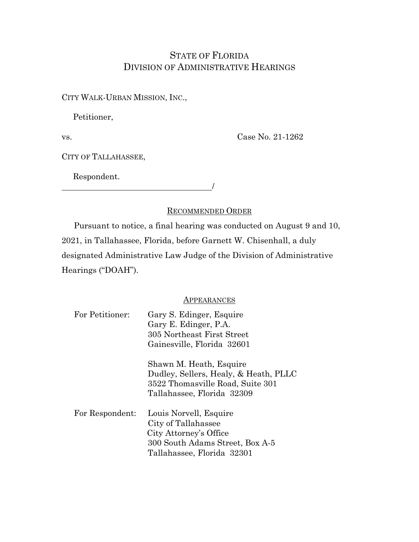# STATE OF FLORIDA DIVISION OF ADMINISTRATIVE HEARINGS

CITY WALK-URBAN MISSION, INC.,

Petitioner,

vs.

Case No. 21-1262

CITY OF TALLAHASSEE,

 Respondent. /

### RECOMMENDED ORDER

Pursuant to notice, a final hearing was conducted on August 9 and 10, 2021, in Tallahassee, Florida, before Garnett W. Chisenhall, a duly designated Administrative Law Judge of the Division of Administrative Hearings ("DOAH").

#### **APPEARANCES**

| For Petitioner: | Gary S. Edinger, Esquire<br>Gary E. Edinger, P.A. |
|-----------------|---------------------------------------------------|
|                 | 305 Northeast First Street                        |
|                 | Gainesville, Florida 32601                        |
|                 | Shawn M. Heath, Esquire                           |
|                 | Dudley, Sellers, Healy, & Heath, PLLC             |
|                 | 3522 Thomasville Road, Suite 301                  |
|                 | Tallahassee, Florida 32309                        |
| For Respondent: | Louis Norvell, Esquire                            |
|                 | City of Tallahassee                               |
|                 | City Attorney's Office                            |
|                 | 300 South Adams Street, Box A-5                   |
|                 | Tallahassee, Florida 32301                        |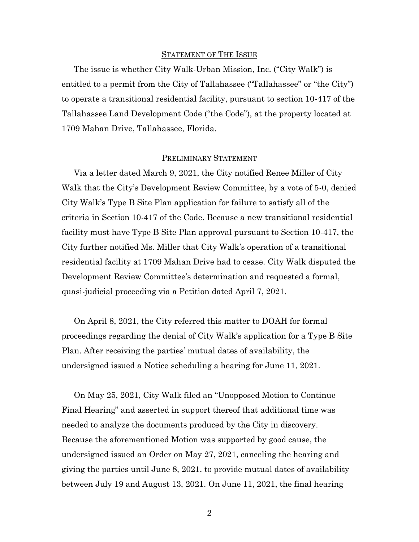#### STATEMENT OF THE ISSUE

The issue is whether City Walk-Urban Mission, Inc. ("City Walk") is entitled to a permit from the City of Tallahassee ("Tallahassee" or "the City") to operate a transitional residential facility, pursuant to section 10-417 of the Tallahassee Land Development Code ("the Code"), at the property located at 1709 Mahan Drive, Tallahassee, Florida.

#### PRELIMINARY STATEMENT

Via a letter dated March 9, 2021, the City notified Renee Miller of City Walk that the City's Development Review Committee, by a vote of 5-0, denied City Walk's Type B Site Plan application for failure to satisfy all of the criteria in Section 10-417 of the Code. Because a new transitional residential facility must have Type B Site Plan approval pursuant to Section 10-417, the City further notified Ms. Miller that City Walk's operation of a transitional residential facility at 1709 Mahan Drive had to cease. City Walk disputed the Development Review Committee's determination and requested a formal, quasi-judicial proceeding via a Petition dated April 7, 2021.

On April 8, 2021, the City referred this matter to DOAH for formal proceedings regarding the denial of City Walk's application for a Type B Site Plan. After receiving the parties' mutual dates of availability, the undersigned issued a Notice scheduling a hearing for June 11, 2021.

On May 25, 2021, City Walk filed an "Unopposed Motion to Continue Final Hearing" and asserted in support thereof that additional time was needed to analyze the documents produced by the City in discovery. Because the aforementioned Motion was supported by good cause, the undersigned issued an Order on May 27, 2021, canceling the hearing and giving the parties until June 8, 2021, to provide mutual dates of availability between July 19 and August 13, 2021. On June 11, 2021, the final hearing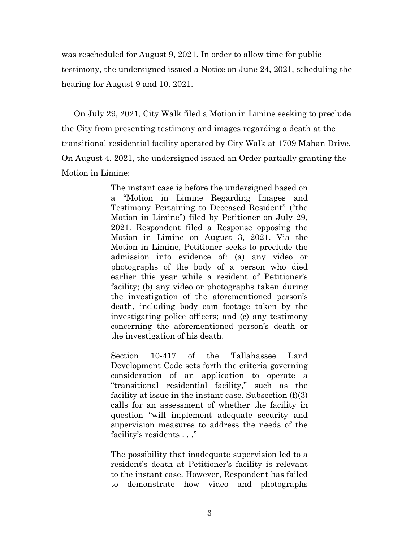was rescheduled for August 9, 2021. In order to allow time for public testimony, the undersigned issued a Notice on June 24, 2021, scheduling the hearing for August 9 and 10, 2021.

On July 29, 2021, City Walk filed a Motion in Limine seeking to preclude the City from presenting testimony and images regarding a death at the transitional residential facility operated by City Walk at 1709 Mahan Drive. On August 4, 2021, the undersigned issued an Order partially granting the Motion in Limine:

> The instant case is before the undersigned based on a "Motion in Limine Regarding Images and Testimony Pertaining to Deceased Resident" ("the Motion in Limine") filed by Petitioner on July 29, 2021. Respondent filed a Response opposing the Motion in Limine on August 3, 2021. Via the Motion in Limine, Petitioner seeks to preclude the admission into evidence of: (a) any video or photographs of the body of a person who died earlier this year while a resident of Petitioner's facility; (b) any video or photographs taken during the investigation of the aforementioned person's death, including body cam footage taken by the investigating police officers; and (c) any testimony concerning the aforementioned person's death or the investigation of his death.

> Section 10-417 of the Tallahassee Land Development Code sets forth the criteria governing consideration of an application to operate a "transitional residential facility," such as the facility at issue in the instant case. Subsection (f)(3) calls for an assessment of whether the facility in question "will implement adequate security and supervision measures to address the needs of the facility's residents . . ."

> The possibility that inadequate supervision led to a resident's death at Petitioner's facility is relevant to the instant case. However, Respondent has failed to demonstrate how video and photographs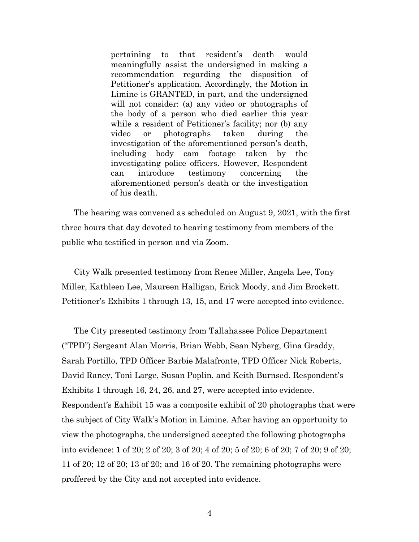pertaining to that resident's death would meaningfully assist the undersigned in making a recommendation regarding the disposition of Petitioner's application. Accordingly, the Motion in Limine is GRANTED, in part, and the undersigned will not consider: (a) any video or photographs of the body of a person who died earlier this year while a resident of Petitioner's facility; nor (b) any video or photographs taken during the investigation of the aforementioned person's death, including body cam footage taken by the investigating police officers. However, Respondent can introduce testimony concerning the aforementioned person's death or the investigation of his death.

The hearing was convened as scheduled on August 9, 2021, with the first three hours that day devoted to hearing testimony from members of the public who testified in person and via Zoom.

City Walk presented testimony from Renee Miller, Angela Lee, Tony Miller, Kathleen Lee, Maureen Halligan, Erick Moody, and Jim Brockett. Petitioner's Exhibits 1 through 13, 15, and 17 were accepted into evidence.

The City presented testimony from Tallahassee Police Department ("TPD") Sergeant Alan Morris, Brian Webb, Sean Nyberg, Gina Graddy, Sarah Portillo, TPD Officer Barbie Malafronte, TPD Officer Nick Roberts, David Raney, Toni Large, Susan Poplin, and Keith Burnsed. Respondent's Exhibits 1 through 16, 24, 26, and 27, were accepted into evidence. Respondent's Exhibit 15 was a composite exhibit of 20 photographs that were the subject of City Walk's Motion in Limine. After having an opportunity to view the photographs, the undersigned accepted the following photographs into evidence: 1 of 20; 2 of 20; 3 of 20; 4 of 20; 5 of 20; 6 of 20; 7 of 20; 9 of 20; 11 of 20; 12 of 20; 13 of 20; and 16 of 20. The remaining photographs were proffered by the City and not accepted into evidence.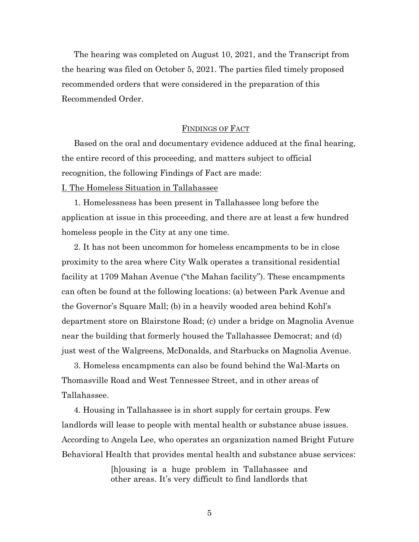The hearing was completed on August 10, 2021, and the Transcript from the hearing was filed on October 5, 2021. The parties filed timely proposed recommended orders that were considered in the preparation of this Recommended Order.

#### FINDINGS OF FACT

Based on the oral and documentary evidence adduced at the final hearing, the entire record of this proceeding, and matters subject to official recognition, the following Findings of Fact are made: I. The Homeless Situation in Tallahassee

1. Homelessness has been present in Tallahassee long before the application at issue in this proceeding, and there are at least a few hundred homeless people in the City at any one time.

2. It has not been uncommon for homeless encampments to be in close proximity to the area where City Walk operates a transitional residential facility at 1709 Mahan Avenue ("the Mahan facility"). These encampments can often be found at the following locations: (a) between Park Avenue and the Governor's Square Mall; (b) in a heavily wooded area behind Kohl's department store on Blairstone Road; (c) under a bridge on Magnolia Avenue near the building that formerly housed the Tallahassee Democrat; and (d) just west of the Walgreens, McDonalds, and Starbucks on Magnolia Avenue.

3. Homeless encampments can also be found behind the Wal-Marts on Thomasville Road and West Tennessee Street, and in other areas of Tallahassee.

4. Housing in Tallahassee is in short supply for certain groups. Few landlords will lease to people with mental health or substance abuse issues. According to Angela Lee, who operates an organization named Bright Future Behavioral Health that provides mental health and substance abuse services:

> [h]ousing is a huge problem in Tallahassee and other areas. It's very difficult to find landlords that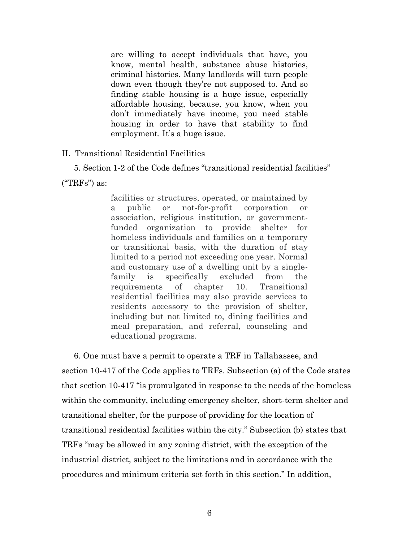are willing to accept individuals that have, you know, mental health, substance abuse histories, criminal histories. Many landlords will turn people down even though they're not supposed to. And so finding stable housing is a huge issue, especially affordable housing, because, you know, when you don't immediately have income, you need stable housing in order to have that stability to find employment. It's a huge issue.

### II. Transitional Residential Facilities

5. Section 1-2 of the Code defines "transitional residential facilities" ("TRFs") as:

> facilities or structures, operated, or maintained by a public or not-for-profit corporation or association, religious institution, or governmentfunded organization to provide shelter for homeless individuals and families on a temporary or transitional basis, with the duration of stay limited to a period not exceeding one year. Normal and customary use of a dwelling unit by a singlefamily is specifically excluded from the requirements of chapter 10. Transitional residential facilities may also provide services to residents accessory to the provision of shelter, including but not limited to, dining facilities and meal preparation, and referral, counseling and educational programs.

6. One must have a permit to operate a TRF in Tallahassee, and section 10-417 of the Code applies to TRFs. Subsection (a) of the Code states that section 10-417 "is promulgated in response to the needs of the homeless within the community, including emergency shelter, short-term shelter and transitional shelter, for the purpose of providing for the location of transitional residential facilities within the city." Subsection (b) states that TRFs "may be allowed in any zoning district, with the exception of the industrial district, subject to the limitations and in accordance with the procedures and minimum criteria set forth in this section." In addition,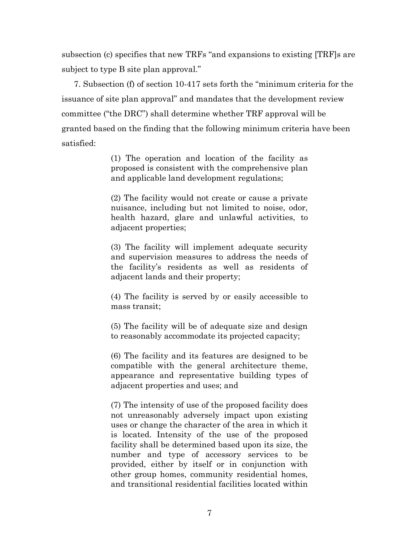subsection (c) specifies that new TRFs "and expansions to existing [TRF]s are subject to type B site plan approval."

7. Subsection (f) of section 10-417 sets forth the "minimum criteria for the issuance of site plan approval" and mandates that the development review committee ("the DRC") shall determine whether TRF approval will be granted based on the finding that the following minimum criteria have been satisfied:

> (1) The operation and location of the facility as proposed is consistent with the comprehensive plan and applicable land development regulations;

> (2) The facility would not create or cause a private nuisance, including but not limited to noise, odor, health hazard, glare and unlawful activities, to adjacent properties;

> (3) The facility will implement adequate security and supervision measures to address the needs of the facility's residents as well as residents of adjacent lands and their property;

> (4) The facility is served by or easily accessible to mass transit;

> (5) The facility will be of adequate size and design to reasonably accommodate its projected capacity;

> (6) The facility and its features are designed to be compatible with the general architecture theme, appearance and representative building types of adjacent properties and uses; and

> (7) The intensity of use of the proposed facility does not unreasonably adversely impact upon existing uses or change the character of the area in which it is located. Intensity of the use of the proposed facility shall be determined based upon its size, the number and type of accessory services to be provided, either by itself or in conjunction with other group homes, community residential homes, and transitional residential facilities located within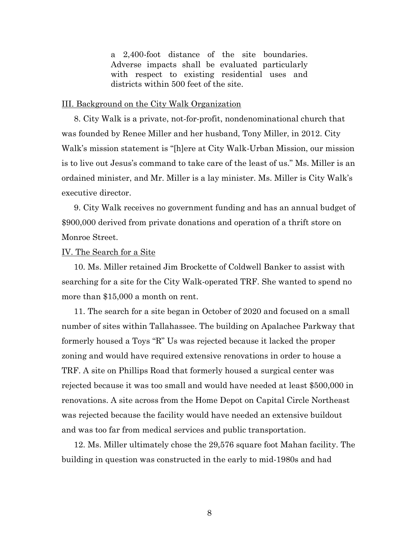a 2,400-foot distance of the site boundaries. Adverse impacts shall be evaluated particularly with respect to existing residential uses and districts within 500 feet of the site.

#### III. Background on the City Walk Organization

8. City Walk is a private, not-for-profit, nondenominational church that was founded by Renee Miller and her husband, Tony Miller, in 2012. City Walk's mission statement is "[h]ere at City Walk-Urban Mission, our mission is to live out Jesus's command to take care of the least of us." Ms. Miller is an ordained minister, and Mr. Miller is a lay minister. Ms. Miller is City Walk's executive director.

9. City Walk receives no government funding and has an annual budget of \$900,000 derived from private donations and operation of a thrift store on Monroe Street.

### IV. The Search for a Site

10. Ms. Miller retained Jim Brockette of Coldwell Banker to assist with searching for a site for the City Walk-operated TRF. She wanted to spend no more than \$15,000 a month on rent.

11. The search for a site began in October of 2020 and focused on a small number of sites within Tallahassee. The building on Apalachee Parkway that formerly housed a Toys "R" Us was rejected because it lacked the proper zoning and would have required extensive renovations in order to house a TRF. A site on Phillips Road that formerly housed a surgical center was rejected because it was too small and would have needed at least \$500,000 in renovations. A site across from the Home Depot on Capital Circle Northeast was rejected because the facility would have needed an extensive buildout and was too far from medical services and public transportation.

12. Ms. Miller ultimately chose the 29,576 square foot Mahan facility. The building in question was constructed in the early to mid-1980s and had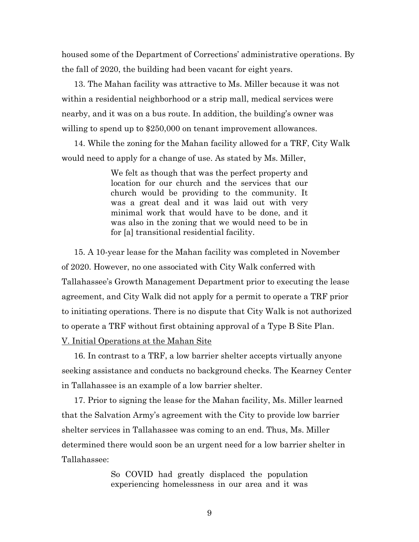housed some of the Department of Corrections' administrative operations. By the fall of 2020, the building had been vacant for eight years.

13. The Mahan facility was attractive to Ms. Miller because it was not within a residential neighborhood or a strip mall, medical services were nearby, and it was on a bus route. In addition, the building's owner was willing to spend up to \$250,000 on tenant improvement allowances.

14. While the zoning for the Mahan facility allowed for a TRF, City Walk would need to apply for a change of use. As stated by Ms. Miller,

> We felt as though that was the perfect property and location for our church and the services that our church would be providing to the community. It was a great deal and it was laid out with very minimal work that would have to be done, and it was also in the zoning that we would need to be in for [a] transitional residential facility.

15. A 10-year lease for the Mahan facility was completed in November of 2020. However, no one associated with City Walk conferred with Tallahassee's Growth Management Department prior to executing the lease agreement, and City Walk did not apply for a permit to operate a TRF prior to initiating operations. There is no dispute that City Walk is not authorized to operate a TRF without first obtaining approval of a Type B Site Plan.

V. Initial Operations at the Mahan Site

16. In contrast to a TRF, a low barrier shelter accepts virtually anyone seeking assistance and conducts no background checks. The Kearney Center in Tallahassee is an example of a low barrier shelter.

17. Prior to signing the lease for the Mahan facility, Ms. Miller learned that the Salvation Army's agreement with the City to provide low barrier shelter services in Tallahassee was coming to an end. Thus, Ms. Miller determined there would soon be an urgent need for a low barrier shelter in Tallahassee:

> So COVID had greatly displaced the population experiencing homelessness in our area and it was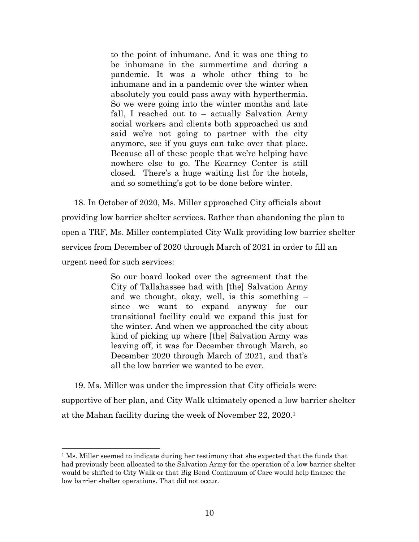to the point of inhumane. And it was one thing to be inhumane in the summertime and during a pandemic. It was a whole other thing to be inhumane and in a pandemic over the winter when absolutely you could pass away with hyperthermia. So we were going into the winter months and late fall, I reached out to – actually Salvation Army social workers and clients both approached us and said we're not going to partner with the city anymore, see if you guys can take over that place. Because all of these people that we're helping have nowhere else to go. The Kearney Center is still closed. There's a huge waiting list for the hotels, and so something's got to be done before winter.

18. In October of 2020, Ms. Miller approached City officials about providing low barrier shelter services. Rather than abandoning the plan to open a TRF, Ms. Miller contemplated City Walk providing low barrier shelter services from December of 2020 through March of 2021 in order to fill an urgent need for such services:

> So our board looked over the agreement that the City of Tallahassee had with [the] Salvation Army and we thought, okay, well, is this something – since we want to expand anyway for our transitional facility could we expand this just for the winter. And when we approached the city about kind of picking up where [the] Salvation Army was leaving off, it was for December through March, so December 2020 through March of 2021, and that's all the low barrier we wanted to be ever.

19. Ms. Miller was under the impression that City officials were supportive of her plan, and City Walk ultimately opened a low barrier shelter at the Mahan facility during the week of November 22, 2020.<sup>1</sup>

 $\overline{a}$ 

 $1$  Ms. Miller seemed to indicate during her testimony that she expected that the funds that had previously been allocated to the Salvation Army for the operation of a low barrier shelter would be shifted to City Walk or that Big Bend Continuum of Care would help finance the low barrier shelter operations. That did not occur.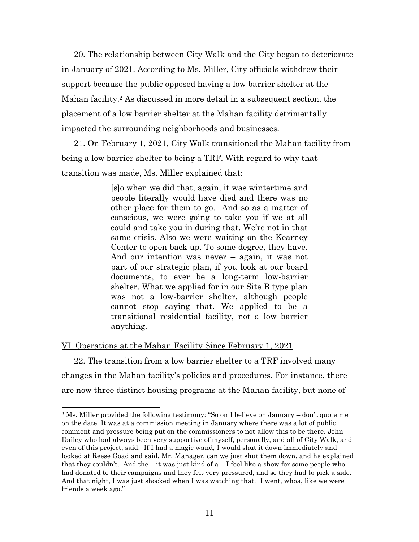20. The relationship between City Walk and the City began to deteriorate in January of 2021. According to Ms. Miller, City officials withdrew their support because the public opposed having a low barrier shelter at the Mahan facility. <sup>2</sup> As discussed in more detail in a subsequent section, the placement of a low barrier shelter at the Mahan facility detrimentally impacted the surrounding neighborhoods and businesses.

21. On February 1, 2021, City Walk transitioned the Mahan facility from being a low barrier shelter to being a TRF. With regard to why that transition was made, Ms. Miller explained that:

> [s]o when we did that, again, it was wintertime and people literally would have died and there was no other place for them to go. And so as a matter of conscious, we were going to take you if we at all could and take you in during that. We're not in that same crisis. Also we were waiting on the Kearney Center to open back up. To some degree, they have. And our intention was never – again, it was not part of our strategic plan, if you look at our board documents, to ever be a long-term low-barrier shelter. What we applied for in our Site B type plan was not a low-barrier shelter, although people cannot stop saying that. We applied to be a transitional residential facility, not a low barrier anything.

#### VI. Operations at the Mahan Facility Since February 1, 2021

l

22. The transition from a low barrier shelter to a TRF involved many changes in the Mahan facility's policies and procedures. For instance, there are now three distinct housing programs at the Mahan facility, but none of

<sup>2</sup> Ms. Miller provided the following testimony: "So on I believe on January – don't quote me on the date. It was at a commission meeting in January where there was a lot of public comment and pressure being put on the commissioners to not allow this to be there. John Dailey who had always been very supportive of myself, personally, and all of City Walk, and even of this project, said: If I had a magic wand, I would shut it down immediately and looked at Reese Goad and said, Mr. Manager, can we just shut them down, and he explained that they couldn't. And the – it was just kind of  $a - I$  feel like a show for some people who had donated to their campaigns and they felt very pressured, and so they had to pick a side. And that night, I was just shocked when I was watching that. I went, whoa, like we were friends a week ago."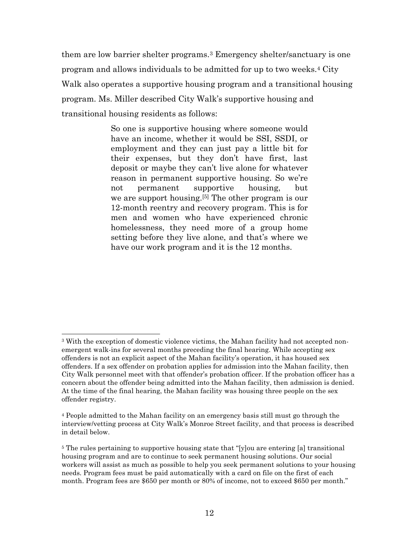them are low barrier shelter programs.<sup>3</sup> Emergency shelter/sanctuary is one program and allows individuals to be admitted for up to two weeks.<sup>4</sup> City Walk also operates a supportive housing program and a transitional housing program. Ms. Miller described City Walk's supportive housing and transitional housing residents as follows:

> So one is supportive housing where someone would have an income, whether it would be SSI, SSDI, or employment and they can just pay a little bit for their expenses, but they don't have first, last deposit or maybe they can't live alone for whatever reason in permanent supportive housing. So we're not permanent supportive housing, but we are support housing.[5] The other program is our 12-month reentry and recovery program. This is for men and women who have experienced chronic homelessness, they need more of a group home setting before they live alone, and that's where we have our work program and it is the 12 months.

 $\overline{a}$ 

<sup>&</sup>lt;sup>3</sup> With the exception of domestic violence victims, the Mahan facility had not accepted nonemergent walk-ins for several months preceding the final hearing. While accepting sex offenders is not an explicit aspect of the Mahan facility's operation, it has housed sex offenders. If a sex offender on probation applies for admission into the Mahan facility, then City Walk personnel meet with that offender's probation officer. If the probation officer has a concern about the offender being admitted into the Mahan facility, then admission is denied. At the time of the final hearing, the Mahan facility was housing three people on the sex offender registry.

<sup>4</sup> People admitted to the Mahan facility on an emergency basis still must go through the interview/vetting process at City Walk's Monroe Street facility, and that process is described in detail below.

<sup>&</sup>lt;sup>5</sup> The rules pertaining to supportive housing state that "[y]ou are entering [a] transitional housing program and are to continue to seek permanent housing solutions. Our social workers will assist as much as possible to help you seek permanent solutions to your housing needs. Program fees must be paid automatically with a card on file on the first of each month. Program fees are \$650 per month or 80% of income, not to exceed \$650 per month."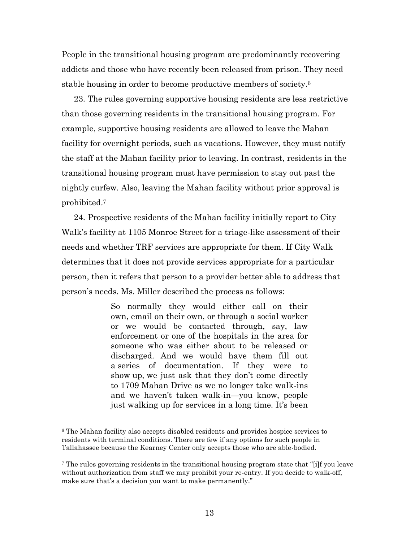People in the transitional housing program are predominantly recovering addicts and those who have recently been released from prison. They need stable housing in order to become productive members of society. 6

23. The rules governing supportive housing residents are less restrictive than those governing residents in the transitional housing program. For example, supportive housing residents are allowed to leave the Mahan facility for overnight periods, such as vacations. However, they must notify the staff at the Mahan facility prior to leaving. In contrast, residents in the transitional housing program must have permission to stay out past the nightly curfew. Also, leaving the Mahan facility without prior approval is prohibited.<sup>7</sup>

24. Prospective residents of the Mahan facility initially report to City Walk's facility at 1105 Monroe Street for a triage-like assessment of their needs and whether TRF services are appropriate for them. If City Walk determines that it does not provide services appropriate for a particular person, then it refers that person to a provider better able to address that person's needs. Ms. Miller described the process as follows:

> So normally they would either call on their own, email on their own, or through a social worker or we would be contacted through, say, law enforcement or one of the hospitals in the area for someone who was either about to be released or discharged. And we would have them fill out a series of documentation. If they were to show up, we just ask that they don't come directly to 1709 Mahan Drive as we no longer take walk-ins and we haven't taken walk-in—you know, people just walking up for services in a long time. It's been

 $\overline{a}$ 

<sup>6</sup> The Mahan facility also accepts disabled residents and provides hospice services to residents with terminal conditions. There are few if any options for such people in Tallahassee because the Kearney Center only accepts those who are able-bodied.

<sup>7</sup> The rules governing residents in the transitional housing program state that "[i]f you leave without authorization from staff we may prohibit your re-entry. If you decide to walk-off, make sure that's a decision you want to make permanently."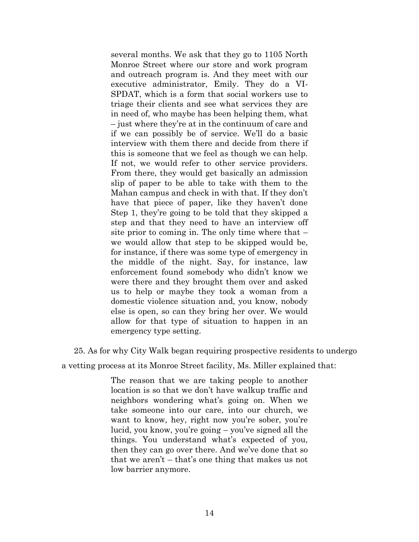several months. We ask that they go to 1105 North Monroe Street where our store and work program and outreach program is. And they meet with our executive administrator, Emily. They do a VI-SPDAT, which is a form that social workers use to triage their clients and see what services they are in need of, who maybe has been helping them, what – just where they're at in the continuum of care and if we can possibly be of service. We'll do a basic interview with them there and decide from there if this is someone that we feel as though we can help. If not, we would refer to other service providers. From there, they would get basically an admission slip of paper to be able to take with them to the Mahan campus and check in with that. If they don't have that piece of paper, like they haven't done Step 1, they're going to be told that they skipped a step and that they need to have an interview off site prior to coming in. The only time where that  $$ we would allow that step to be skipped would be, for instance, if there was some type of emergency in the middle of the night. Say, for instance, law enforcement found somebody who didn't know we were there and they brought them over and asked us to help or maybe they took a woman from a domestic violence situation and, you know, nobody else is open, so can they bring her over. We would allow for that type of situation to happen in an emergency type setting.

25. As for why City Walk began requiring prospective residents to undergo

a vetting process at its Monroe Street facility, Ms. Miller explained that:

The reason that we are taking people to another location is so that we don't have walkup traffic and neighbors wondering what's going on. When we take someone into our care, into our church, we want to know, hey, right now you're sober, you're lucid, you know, you're going – you've signed all the things. You understand what's expected of you, then they can go over there. And we've done that so that we aren't – that's one thing that makes us not low barrier anymore.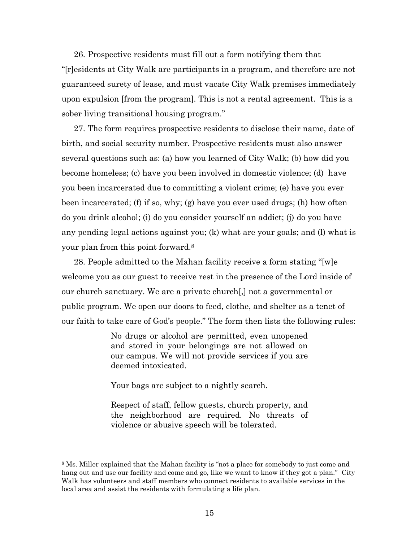26. Prospective residents must fill out a form notifying them that "[r]esidents at City Walk are participants in a program, and therefore are not guaranteed surety of lease, and must vacate City Walk premises immediately upon expulsion [from the program]. This is not a rental agreement. This is a sober living transitional housing program."

27. The form requires prospective residents to disclose their name, date of birth, and social security number. Prospective residents must also answer several questions such as: (a) how you learned of City Walk; (b) how did you become homeless; (c) have you been involved in domestic violence; (d) have you been incarcerated due to committing a violent crime; (e) have you ever been incarcerated; (f) if so, why; (g) have you ever used drugs; (h) how often do you drink alcohol; (i) do you consider yourself an addict; (j) do you have any pending legal actions against you; (k) what are your goals; and (l) what is your plan from this point forward.<sup>8</sup>

28. People admitted to the Mahan facility receive a form stating "[w]e welcome you as our guest to receive rest in the presence of the Lord inside of our church sanctuary. We are a private church[,] not a governmental or public program. We open our doors to feed, clothe, and shelter as a tenet of our faith to take care of God's people." The form then lists the following rules:

> No drugs or alcohol are permitted, even unopened and stored in your belongings are not allowed on our campus. We will not provide services if you are deemed intoxicated.

Your bags are subject to a nightly search.

 $\overline{a}$ 

Respect of staff, fellow guests, church property, and the neighborhood are required. No threats of violence or abusive speech will be tolerated.

<sup>&</sup>lt;sup>8</sup> Ms. Miller explained that the Mahan facility is "not a place for somebody to just come and hang out and use our facility and come and go, like we want to know if they got a plan." City Walk has volunteers and staff members who connect residents to available services in the local area and assist the residents with formulating a life plan.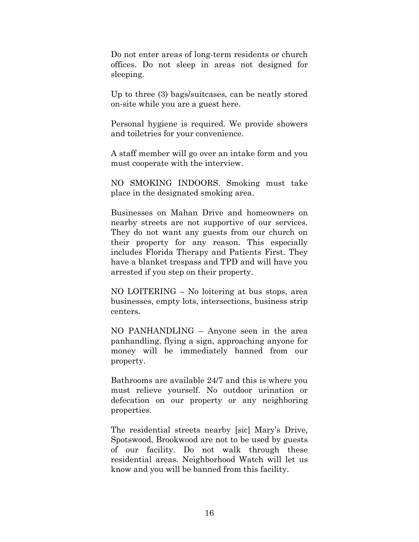Do not enter areas of long-term residents or church offices. Do not sleep in areas not designed for sleeping.

Up to three (3) bags/suitcases, can be neatly stored on-site while you are a guest here.

Personal hygiene is required. We provide showers and toiletries for your convenience.

A staff member will go over an intake form and you must cooperate with the interview.

NO SMOKING INDOORS. Smoking must take place in the designated smoking area.

Businesses on Mahan Drive and homeowners on nearby streets are not supportive of our services. They do not want any guests from our church on their property for any reason. This especially includes Florida Therapy and Patients First. They have a blanket trespass and TPD and will have you arrested if you step on their property.

NO LOITERING – No loitering at bus stops, area businesses, empty lots, intersections, business strip centers.

NO PANHANDLING – Anyone seen in the area panhandling, flying a sign, approaching anyone for money will be immediately banned from our property.

Bathrooms are available 24/7 and this is where you must relieve yourself. No outdoor urination or defecation on our property or any neighboring properties.

The residential streets nearby [sic] Mary's Drive, Spotswood, Brookwood are not to be used by guests of our facility. Do not walk through these residential areas. Neighborhood Watch will let us know and you will be banned from this facility.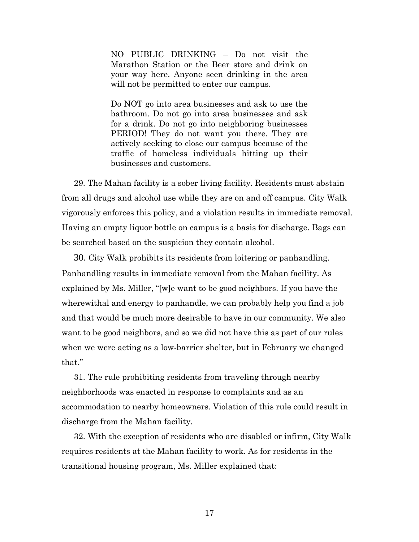NO PUBLIC DRINKING – Do not visit the Marathon Station or the Beer store and drink on your way here. Anyone seen drinking in the area will not be permitted to enter our campus.

Do NOT go into area businesses and ask to use the bathroom. Do not go into area businesses and ask for a drink. Do not go into neighboring businesses PERIOD! They do not want you there. They are actively seeking to close our campus because of the traffic of homeless individuals hitting up their businesses and customers.

29. The Mahan facility is a sober living facility. Residents must abstain from all drugs and alcohol use while they are on and off campus. City Walk vigorously enforces this policy, and a violation results in immediate removal. Having an empty liquor bottle on campus is a basis for discharge. Bags can be searched based on the suspicion they contain alcohol.

30. City Walk prohibits its residents from loitering or panhandling. Panhandling results in immediate removal from the Mahan facility. As explained by Ms. Miller, "[w]e want to be good neighbors. If you have the wherewithal and energy to panhandle, we can probably help you find a job and that would be much more desirable to have in our community. We also want to be good neighbors, and so we did not have this as part of our rules when we were acting as a low-barrier shelter, but in February we changed that."

31. The rule prohibiting residents from traveling through nearby neighborhoods was enacted in response to complaints and as an accommodation to nearby homeowners. Violation of this rule could result in discharge from the Mahan facility.

32. With the exception of residents who are disabled or infirm, City Walk requires residents at the Mahan facility to work. As for residents in the transitional housing program, Ms. Miller explained that: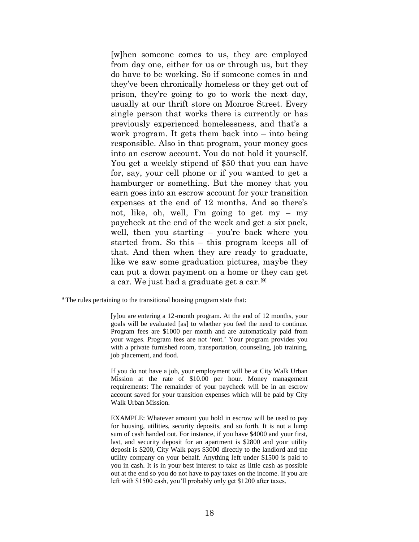[w]hen someone comes to us, they are employed from day one, either for us or through us, but they do have to be working. So if someone comes in and they've been chronically homeless or they get out of prison, they're going to go to work the next day, usually at our thrift store on Monroe Street. Every single person that works there is currently or has previously experienced homelessness, and that's a work program. It gets them back into – into being responsible. Also in that program, your money goes into an escrow account. You do not hold it yourself. You get a weekly stipend of \$50 that you can have for, say, your cell phone or if you wanted to get a hamburger or something. But the money that you earn goes into an escrow account for your transition expenses at the end of 12 months. And so there's not, like, oh, well, I'm going to get my – my paycheck at the end of the week and get a six pack, well, then you starting – you're back where you started from. So this – this program keeps all of that. And then when they are ready to graduate, like we saw some graduation pictures, maybe they can put a down payment on a home or they can get a car. We just had a graduate get a car.[9]

l

If you do not have a job, your employment will be at City Walk Urban Mission at the rate of \$10.00 per hour. Money management requirements: The remainder of your paycheck will be in an escrow account saved for your transition expenses which will be paid by City Walk Urban Mission.

 $9<sup>9</sup>$  The rules pertaining to the transitional housing program state that:

<sup>[</sup>y]ou are entering a 12-month program. At the end of 12 months, your goals will be evaluated [as] to whether you feel the need to continue. Program fees are \$1000 per month and are automatically paid from your wages. Program fees are not 'rent.' Your program provides you with a private furnished room, transportation, counseling, job training, job placement, and food.

EXAMPLE: Whatever amount you hold in escrow will be used to pay for housing, utilities, security deposits, and so forth. It is not a lump sum of cash handed out. For instance, if you have \$4000 and your first, last, and security deposit for an apartment is \$2800 and your utility deposit is \$200, City Walk pays \$3000 directly to the landlord and the utility company on your behalf. Anything left under \$1500 is paid to you in cash. It is in your best interest to take as little cash as possible out at the end so you do not have to pay taxes on the income. If you are left with \$1500 cash, you'll probably only get \$1200 after taxes.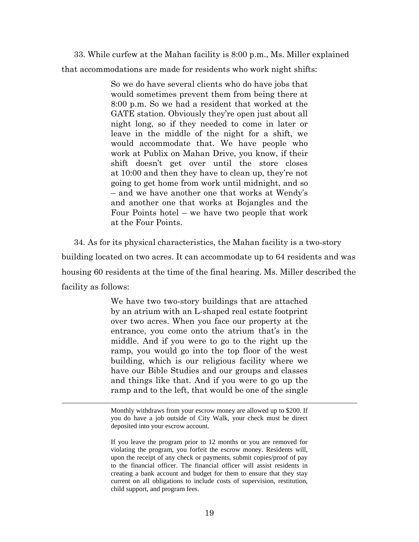33. While curfew at the Mahan facility is 8:00 p.m., Ms. Miller explained that accommodations are made for residents who work night shifts:

> So we do have several clients who do have jobs that would sometimes prevent them from being there at 8:00 p.m. So we had a resident that worked at the GATE station. Obviously they're open just about all night long, so if they needed to come in later or leave in the middle of the night for a shift, we would accommodate that. We have people who work at Publix on Mahan Drive, you know, if their shift doesn't get over until the store closes at 10:00 and then they have to clean up, they're not going to get home from work until midnight, and so – and we have another one that works at Wendy's and another one that works at Bojangles and the Four Points hotel – we have two people that work at the Four Points.

34. As for its physical characteristics, the Mahan facility is a two-story building located on two acres. It can accommodate up to 64 residents and was housing 60 residents at the time of the final hearing. Ms. Miller described the facility as follows:

> We have two two-story buildings that are attached by an atrium with an L-shaped real estate footprint over two acres. When you face our property at the entrance, you come onto the atrium that's in the middle. And if you were to go to the right up the ramp, you would go into the top floor of the west building, which is our religious facility where we have our Bible Studies and our groups and classes and things like that. And if you were to go up the ramp and to the left, that would be one of the single

> Monthly withdraws from your escrow money are allowed up to \$200. If you do have a job outside of City Walk, your check must be direct deposited into your escrow account.

 $\overline{a}$ 

If you leave the program prior to 12 months or you are removed for violating the program, you forfeit the escrow money. Residents will, upon the receipt of any check or payments, submit copies/proof of pay to the financial officer. The financial officer will assist residents in creating a bank account and budget for them to ensure that they stay current on all obligations to include costs of supervision, restitution, child support, and program fees.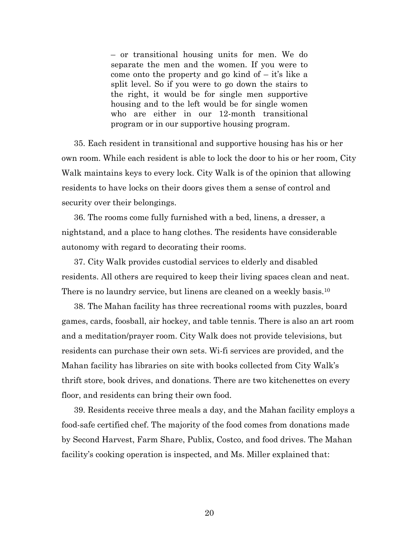– or transitional housing units for men. We do separate the men and the women. If you were to come onto the property and go kind of  $-$  it's like a split level. So if you were to go down the stairs to the right, it would be for single men supportive housing and to the left would be for single women who are either in our 12-month transitional program or in our supportive housing program.

35. Each resident in transitional and supportive housing has his or her own room. While each resident is able to lock the door to his or her room, City Walk maintains keys to every lock. City Walk is of the opinion that allowing residents to have locks on their doors gives them a sense of control and security over their belongings.

36. The rooms come fully furnished with a bed, linens, a dresser, a nightstand, and a place to hang clothes. The residents have considerable autonomy with regard to decorating their rooms.

37. City Walk provides custodial services to elderly and disabled residents. All others are required to keep their living spaces clean and neat. There is no laundry service, but linens are cleaned on a weekly basis.<sup>10</sup>

38. The Mahan facility has three recreational rooms with puzzles, board games, cards, foosball, air hockey, and table tennis. There is also an art room and a meditation/prayer room. City Walk does not provide televisions, but residents can purchase their own sets. Wi-fi services are provided, and the Mahan facility has libraries on site with books collected from City Walk's thrift store, book drives, and donations. There are two kitchenettes on every floor, and residents can bring their own food.

39. Residents receive three meals a day, and the Mahan facility employs a food-safe certified chef. The majority of the food comes from donations made by Second Harvest, Farm Share, Publix, Costco, and food drives. The Mahan facility's cooking operation is inspected, and Ms. Miller explained that: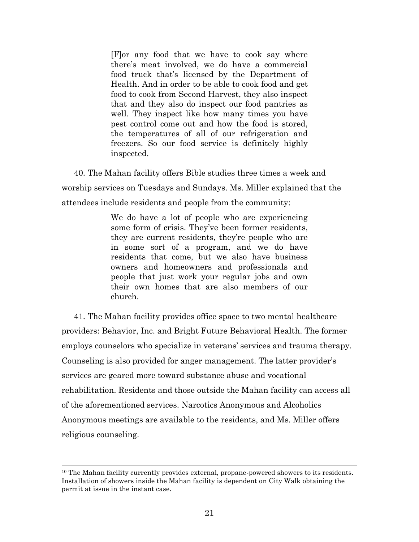[F]or any food that we have to cook say where there's meat involved, we do have a commercial food truck that's licensed by the Department of Health. And in order to be able to cook food and get food to cook from Second Harvest, they also inspect that and they also do inspect our food pantries as well. They inspect like how many times you have pest control come out and how the food is stored, the temperatures of all of our refrigeration and freezers. So our food service is definitely highly inspected.

40. The Mahan facility offers Bible studies three times a week and worship services on Tuesdays and Sundays. Ms. Miller explained that the attendees include residents and people from the community:

> We do have a lot of people who are experiencing some form of crisis. They've been former residents, they are current residents, they're people who are in some sort of a program, and we do have residents that come, but we also have business owners and homeowners and professionals and people that just work your regular jobs and own their own homes that are also members of our church.

41. The Mahan facility provides office space to two mental healthcare providers: Behavior, Inc. and Bright Future Behavioral Health. The former employs counselors who specialize in veterans' services and trauma therapy. Counseling is also provided for anger management. The latter provider's services are geared more toward substance abuse and vocational rehabilitation. Residents and those outside the Mahan facility can access all of the aforementioned services. Narcotics Anonymous and Alcoholics Anonymous meetings are available to the residents, and Ms. Miller offers religious counseling.

 $\overline{\phantom{a}}$ 

<sup>&</sup>lt;sup>10</sup> The Mahan facility currently provides external, propane-powered showers to its residents. Installation of showers inside the Mahan facility is dependent on City Walk obtaining the permit at issue in the instant case.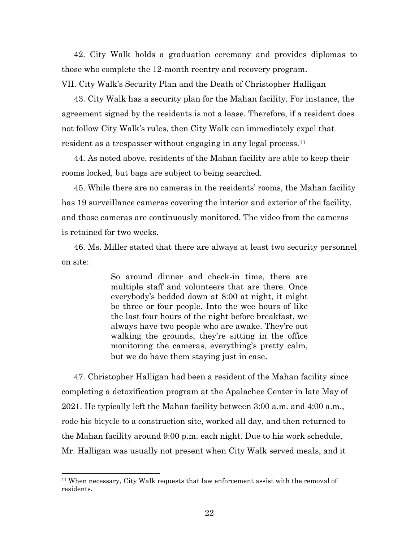42. City Walk holds a graduation ceremony and provides diplomas to those who complete the 12-month reentry and recovery program. VII. City Walk's Security Plan and the Death of Christopher Halligan

43. City Walk has a security plan for the Mahan facility. For instance, the agreement signed by the residents is not a lease. Therefore, if a resident does not follow City Walk's rules, then City Walk can immediately expel that resident as a trespasser without engaging in any legal process.<sup>11</sup>

44. As noted above, residents of the Mahan facility are able to keep their rooms locked, but bags are subject to being searched.

45. While there are no cameras in the residents' rooms, the Mahan facility has 19 surveillance cameras covering the interior and exterior of the facility, and those cameras are continuously monitored. The video from the cameras is retained for two weeks.

46. Ms. Miller stated that there are always at least two security personnel on site:

> So around dinner and check-in time, there are multiple staff and volunteers that are there. Once everybody's bedded down at 8:00 at night, it might be three or four people. Into the wee hours of like the last four hours of the night before breakfast, we always have two people who are awake. They're out walking the grounds, they're sitting in the office monitoring the cameras, everything's pretty calm, but we do have them staying just in case.

47. Christopher Halligan had been a resident of the Mahan facility since completing a detoxification program at the Apalachee Center in late May of 2021. He typically left the Mahan facility between 3:00 a.m. and 4:00 a.m., rode his bicycle to a construction site, worked all day, and then returned to the Mahan facility around 9:00 p.m. each night. Due to his work schedule, Mr. Halligan was usually not present when City Walk served meals, and it

 $\overline{a}$ 

<sup>11</sup> When necessary, City Walk requests that law enforcement assist with the removal of residents.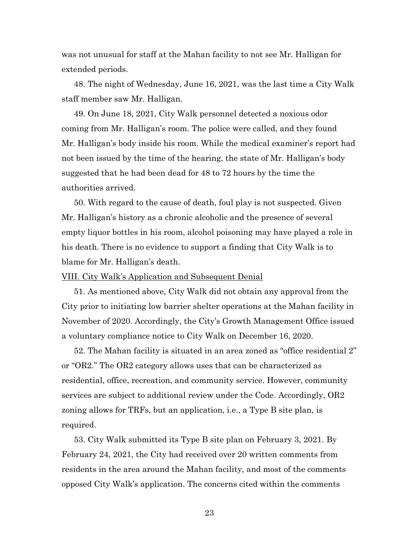was not unusual for staff at the Mahan facility to not see Mr. Halligan for extended periods.

48. The night of Wednesday, June 16, 2021, was the last time a City Walk staff member saw Mr. Halligan.

49. On June 18, 2021, City Walk personnel detected a noxious odor coming from Mr. Halligan's room. The police were called, and they found Mr. Halligan's body inside his room. While the medical examiner's report had not been issued by the time of the hearing, the state of Mr. Halligan's body suggested that he had been dead for 48 to 72 hours by the time the authorities arrived.

50. With regard to the cause of death, foul play is not suspected. Given Mr. Halligan's history as a chronic alcoholic and the presence of several empty liquor bottles in his room, alcohol poisoning may have played a role in his death. There is no evidence to support a finding that City Walk is to blame for Mr. Halligan's death.

#### VIII. City Walk's Application and Subsequent Denial

51. As mentioned above, City Walk did not obtain any approval from the City prior to initiating low barrier shelter operations at the Mahan facility in November of 2020. Accordingly, the City's Growth Management Office issued a voluntary compliance notice to City Walk on December 16, 2020.

52. The Mahan facility is situated in an area zoned as "office residential 2" or "OR2." The OR2 category allows uses that can be characterized as residential, office, recreation, and community service. However, community services are subject to additional review under the Code. Accordingly, OR2 zoning allows for TRFs, but an application, i.e., a Type B site plan, is required.

53. City Walk submitted its Type B site plan on February 3, 2021. By February 24, 2021, the City had received over 20 written comments from residents in the area around the Mahan facility, and most of the comments opposed City Walk's application. The concerns cited within the comments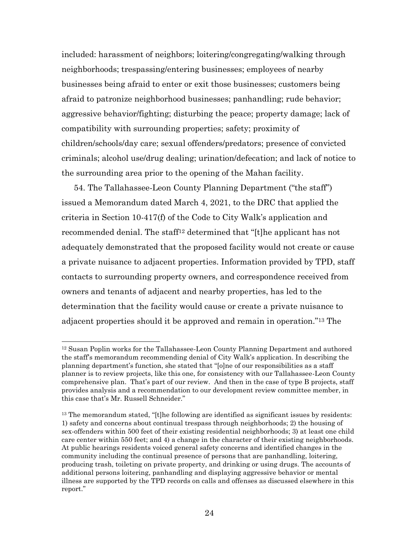included: harassment of neighbors; loitering/congregating/walking through neighborhoods; trespassing/entering businesses; employees of nearby businesses being afraid to enter or exit those businesses; customers being afraid to patronize neighborhood businesses; panhandling; rude behavior; aggressive behavior/fighting; disturbing the peace; property damage; lack of compatibility with surrounding properties; safety; proximity of children/schools/day care; sexual offenders/predators; presence of convicted criminals; alcohol use/drug dealing; urination/defecation; and lack of notice to the surrounding area prior to the opening of the Mahan facility.

54. The Tallahassee-Leon County Planning Department ("the staff") issued a Memorandum dated March 4, 2021, to the DRC that applied the criteria in Section 10-417(f) of the Code to City Walk's application and recommended denial. The staff<sup>12</sup> determined that "[t]he applicant has not adequately demonstrated that the proposed facility would not create or cause a private nuisance to adjacent properties. Information provided by TPD, staff contacts to surrounding property owners, and correspondence received from owners and tenants of adjacent and nearby properties, has led to the determination that the facility would cause or create a private nuisance to adjacent properties should it be approved and remain in operation."<sup>13</sup> The

 $\overline{a}$ 

<sup>12</sup> Susan Poplin works for the Tallahassee-Leon County Planning Department and authored the staff's memorandum recommending denial of City Walk's application. In describing the planning department's function, she stated that "[o]ne of our responsibilities as a staff planner is to review projects, like this one, for consistency with our Tallahassee-Leon County comprehensive plan. That's part of our review. And then in the case of type B projects, staff provides analysis and a recommendation to our development review committee member, in this case that's Mr. Russell Schneider."

<sup>&</sup>lt;sup>13</sup> The memorandum stated, "[t]he following are identified as significant issues by residents: 1) safety and concerns about continual trespass through neighborhoods; 2) the housing of sex-offenders within 500 feet of their existing residential neighborhoods; 3) at least one child care center within 550 feet; and 4) a change in the character of their existing neighborhoods. At public hearings residents voiced general safety concerns and identified changes in the community including the continual presence of persons that are panhandling, loitering, producing trash, toileting on private property, and drinking or using drugs. The accounts of additional persons loitering, panhandling and displaying aggressive behavior or mental illness are supported by the TPD records on calls and offenses as discussed elsewhere in this report."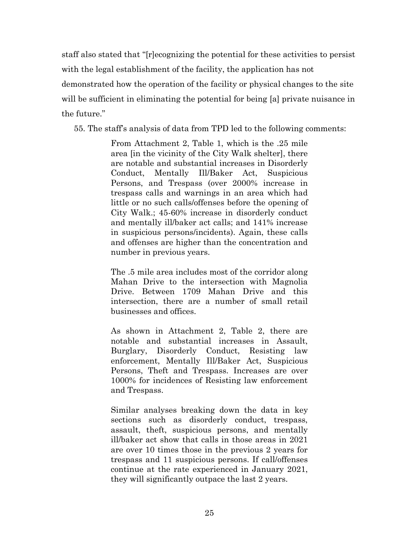staff also stated that "[r]ecognizing the potential for these activities to persist with the legal establishment of the facility, the application has not demonstrated how the operation of the facility or physical changes to the site will be sufficient in eliminating the potential for being [a] private nuisance in the future."

55. The staff's analysis of data from TPD led to the following comments:

From Attachment 2, Table 1, which is the .25 mile area [in the vicinity of the City Walk shelter], there are notable and substantial increases in Disorderly Conduct, Mentally Ill/Baker Act, Suspicious Persons, and Trespass (over 2000% increase in trespass calls and warnings in an area which had little or no such calls/offenses before the opening of City Walk.; 45-60% increase in disorderly conduct and mentally ill/baker act calls; and 141% increase in suspicious persons/incidents). Again, these calls and offenses are higher than the concentration and number in previous years.

The .5 mile area includes most of the corridor along Mahan Drive to the intersection with Magnolia Drive. Between 1709 Mahan Drive and this intersection, there are a number of small retail businesses and offices.

As shown in Attachment 2, Table 2, there are notable and substantial increases in Assault, Burglary, Disorderly Conduct, Resisting law enforcement, Mentally Ill/Baker Act, Suspicious Persons, Theft and Trespass. Increases are over 1000% for incidences of Resisting law enforcement and Trespass.

Similar analyses breaking down the data in key sections such as disorderly conduct, trespass, assault, theft, suspicious persons, and mentally ill/baker act show that calls in those areas in 2021 are over 10 times those in the previous 2 years for trespass and 11 suspicious persons. If call/offenses continue at the rate experienced in January 2021, they will significantly outpace the last 2 years.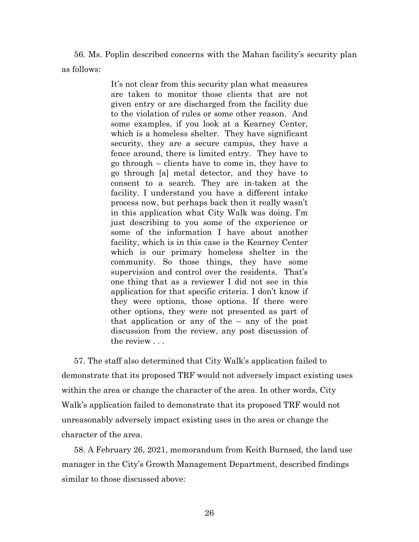56. Ms. Poplin described concerns with the Mahan facility's security plan as follows:

> It's not clear from this security plan what measures are taken to monitor those clients that are not given entry or are discharged from the facility due to the violation of rules or some other reason. And some examples, if you look at a Kearney Center, which is a homeless shelter. They have significant security, they are a secure campus, they have a fence around, there is limited entry. They have to go through – clients have to come in, they have to go through [a] metal detector, and they have to consent to a search. They are in-taken at the facility. I understand you have a different intake process now, but perhaps back then it really wasn't in this application what City Walk was doing. I'm just describing to you some of the experience or some of the information I have about another facility, which is in this case is the Kearney Center which is our primary homeless shelter in the community. So those things, they have some supervision and control over the residents. That's one thing that as a reviewer I did not see in this application for that specific criteria. I don't know if they were options, those options. If there were other options, they were not presented as part of that application or any of the – any of the post discussion from the review, any post discussion of the review . . .

57. The staff also determined that City Walk's application failed to demonstrate that its proposed TRF would not adversely impact existing uses within the area or change the character of the area. In other words, City Walk's application failed to demonstrate that its proposed TRF would not unreasonably adversely impact existing uses in the area or change the character of the area.

58. A February 26, 2021, memorandum from Keith Burnsed, the land use manager in the City's Growth Management Department, described findings similar to those discussed above: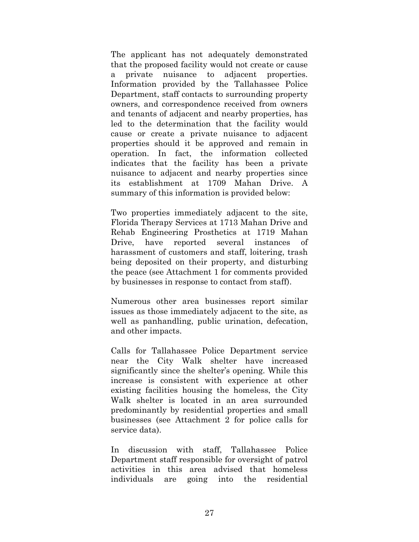The applicant has not adequately demonstrated that the proposed facility would not create or cause a private nuisance to adjacent properties. Information provided by the Tallahassee Police Department, staff contacts to surrounding property owners, and correspondence received from owners and tenants of adjacent and nearby properties, has led to the determination that the facility would cause or create a private nuisance to adjacent properties should it be approved and remain in operation. In fact, the information collected indicates that the facility has been a private nuisance to adjacent and nearby properties since its establishment at 1709 Mahan Drive. A summary of this information is provided below:

Two properties immediately adjacent to the site, Florida Therapy Services at 1713 Mahan Drive and Rehab Engineering Prosthetics at 1719 Mahan Drive, have reported several instances of harassment of customers and staff, loitering, trash being deposited on their property, and disturbing the peace (see Attachment 1 for comments provided by businesses in response to contact from staff).

Numerous other area businesses report similar issues as those immediately adjacent to the site, as well as panhandling, public urination, defecation, and other impacts.

Calls for Tallahassee Police Department service near the City Walk shelter have increased significantly since the shelter's opening. While this increase is consistent with experience at other existing facilities housing the homeless, the City Walk shelter is located in an area surrounded predominantly by residential properties and small businesses (see Attachment 2 for police calls for service data).

In discussion with staff, Tallahassee Police Department staff responsible for oversight of patrol activities in this area advised that homeless individuals are going into the residential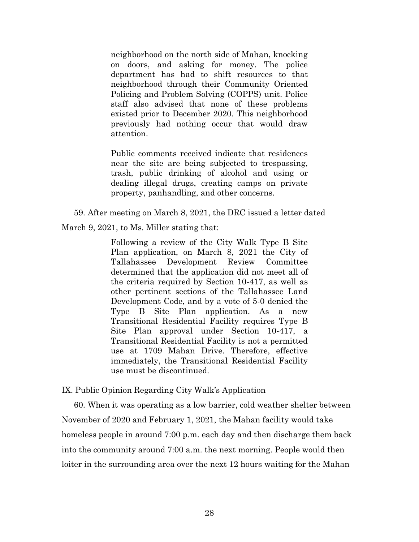neighborhood on the north side of Mahan, knocking on doors, and asking for money. The police department has had to shift resources to that neighborhood through their Community Oriented Policing and Problem Solving (COPPS) unit. Police staff also advised that none of these problems existed prior to December 2020. This neighborhood previously had nothing occur that would draw attention.

Public comments received indicate that residences near the site are being subjected to trespassing, trash, public drinking of alcohol and using or dealing illegal drugs, creating camps on private property, panhandling, and other concerns.

59. After meeting on March 8, 2021, the DRC issued a letter dated

March 9, 2021, to Ms. Miller stating that:

Following a review of the City Walk Type B Site Plan application, on March 8, 2021 the City of Tallahassee Development Review Committee determined that the application did not meet all of the criteria required by Section 10-417, as well as other pertinent sections of the Tallahassee Land Development Code, and by a vote of 5-0 denied the Type B Site Plan application. As a new Transitional Residential Facility requires Type B Site Plan approval under Section 10-417, a Transitional Residential Facility is not a permitted use at 1709 Mahan Drive. Therefore, effective immediately, the Transitional Residential Facility use must be discontinued.

## IX. Public Opinion Regarding City Walk's Application

60. When it was operating as a low barrier, cold weather shelter between November of 2020 and February 1, 2021, the Mahan facility would take homeless people in around 7:00 p.m. each day and then discharge them back into the community around 7:00 a.m. the next morning. People would then loiter in the surrounding area over the next 12 hours waiting for the Mahan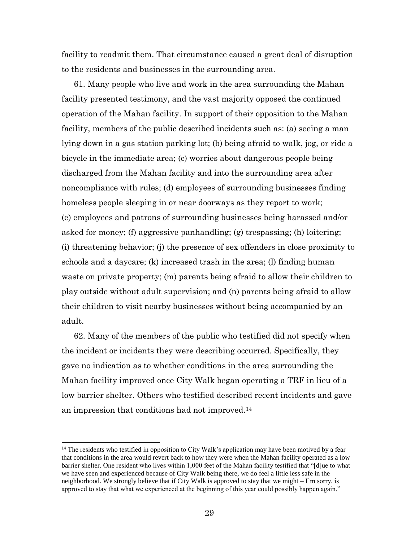facility to readmit them. That circumstance caused a great deal of disruption to the residents and businesses in the surrounding area.

61. Many people who live and work in the area surrounding the Mahan facility presented testimony, and the vast majority opposed the continued operation of the Mahan facility. In support of their opposition to the Mahan facility, members of the public described incidents such as: (a) seeing a man lying down in a gas station parking lot; (b) being afraid to walk, jog, or ride a bicycle in the immediate area; (c) worries about dangerous people being discharged from the Mahan facility and into the surrounding area after noncompliance with rules; (d) employees of surrounding businesses finding homeless people sleeping in or near doorways as they report to work; (e) employees and patrons of surrounding businesses being harassed and/or asked for money; (f) aggressive panhandling; (g) trespassing; (h) loitering; (i) threatening behavior; (j) the presence of sex offenders in close proximity to schools and a daycare; (k) increased trash in the area; (l) finding human waste on private property; (m) parents being afraid to allow their children to play outside without adult supervision; and (n) parents being afraid to allow their children to visit nearby businesses without being accompanied by an adult.

62. Many of the members of the public who testified did not specify when the incident or incidents they were describing occurred. Specifically, they gave no indication as to whether conditions in the area surrounding the Mahan facility improved once City Walk began operating a TRF in lieu of a low barrier shelter. Others who testified described recent incidents and gave an impression that conditions had not improved.<sup>14</sup>

 $\overline{a}$ 

<sup>&</sup>lt;sup>14</sup> The residents who testified in opposition to City Walk's application may have been motived by a fear that conditions in the area would revert back to how they were when the Mahan facility operated as a low barrier shelter. One resident who lives within 1,000 feet of the Mahan facility testified that "[d]ue to what we have seen and experienced because of City Walk being there, we do feel a little less safe in the neighborhood. We strongly believe that if City Walk is approved to stay that we might – I'm sorry, is approved to stay that what we experienced at the beginning of this year could possibly happen again."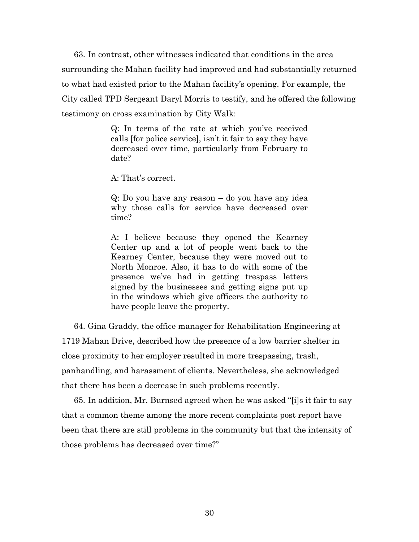63. In contrast, other witnesses indicated that conditions in the area surrounding the Mahan facility had improved and had substantially returned to what had existed prior to the Mahan facility's opening. For example, the City called TPD Sergeant Daryl Morris to testify, and he offered the following testimony on cross examination by City Walk:

> Q: In terms of the rate at which you've received calls [for police service], isn't it fair to say they have decreased over time, particularly from February to date?

A: That's correct.

Q: Do you have any reason – do you have any idea why those calls for service have decreased over time?

A: I believe because they opened the Kearney Center up and a lot of people went back to the Kearney Center, because they were moved out to North Monroe. Also, it has to do with some of the presence we've had in getting trespass letters signed by the businesses and getting signs put up in the windows which give officers the authority to have people leave the property.

64. Gina Graddy, the office manager for Rehabilitation Engineering at 1719 Mahan Drive, described how the presence of a low barrier shelter in close proximity to her employer resulted in more trespassing, trash, panhandling, and harassment of clients. Nevertheless, she acknowledged that there has been a decrease in such problems recently.

65. In addition, Mr. Burnsed agreed when he was asked "[i]s it fair to say that a common theme among the more recent complaints post report have been that there are still problems in the community but that the intensity of those problems has decreased over time?"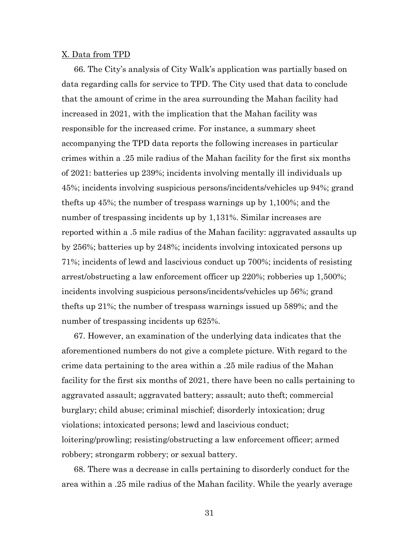#### X. Data from TPD

66. The City's analysis of City Walk's application was partially based on data regarding calls for service to TPD. The City used that data to conclude that the amount of crime in the area surrounding the Mahan facility had increased in 2021, with the implication that the Mahan facility was responsible for the increased crime. For instance, a summary sheet accompanying the TPD data reports the following increases in particular crimes within a .25 mile radius of the Mahan facility for the first six months of 2021: batteries up 239%; incidents involving mentally ill individuals up 45%; incidents involving suspicious persons/incidents/vehicles up 94%; grand thefts up 45%; the number of trespass warnings up by 1,100%; and the number of trespassing incidents up by 1,131%. Similar increases are reported within a .5 mile radius of the Mahan facility: aggravated assaults up by 256%; batteries up by 248%; incidents involving intoxicated persons up 71%; incidents of lewd and lascivious conduct up 700%; incidents of resisting arrest/obstructing a law enforcement officer up 220%; robberies up 1,500%; incidents involving suspicious persons/incidents/vehicles up 56%; grand thefts up 21%; the number of trespass warnings issued up 589%; and the number of trespassing incidents up 625%.

67. However, an examination of the underlying data indicates that the aforementioned numbers do not give a complete picture. With regard to the crime data pertaining to the area within a .25 mile radius of the Mahan facility for the first six months of 2021, there have been no calls pertaining to aggravated assault; aggravated battery; assault; auto theft; commercial burglary; child abuse; criminal mischief; disorderly intoxication; drug violations; intoxicated persons; lewd and lascivious conduct; loitering/prowling; resisting/obstructing a law enforcement officer; armed robbery; strongarm robbery; or sexual battery.

68. There was a decrease in calls pertaining to disorderly conduct for the area within a .25 mile radius of the Mahan facility. While the yearly average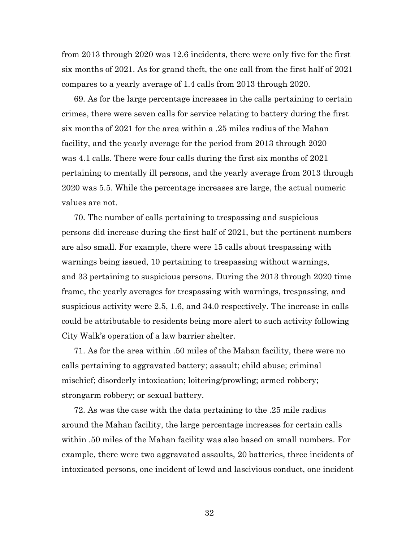from 2013 through 2020 was 12.6 incidents, there were only five for the first six months of 2021. As for grand theft, the one call from the first half of 2021 compares to a yearly average of 1.4 calls from 2013 through 2020.

69. As for the large percentage increases in the calls pertaining to certain crimes, there were seven calls for service relating to battery during the first six months of 2021 for the area within a .25 miles radius of the Mahan facility, and the yearly average for the period from 2013 through 2020 was 4.1 calls. There were four calls during the first six months of 2021 pertaining to mentally ill persons, and the yearly average from 2013 through 2020 was 5.5. While the percentage increases are large, the actual numeric values are not.

70. The number of calls pertaining to trespassing and suspicious persons did increase during the first half of 2021, but the pertinent numbers are also small. For example, there were 15 calls about trespassing with warnings being issued, 10 pertaining to trespassing without warnings, and 33 pertaining to suspicious persons. During the 2013 through 2020 time frame, the yearly averages for trespassing with warnings, trespassing, and suspicious activity were 2.5, 1.6, and 34.0 respectively. The increase in calls could be attributable to residents being more alert to such activity following City Walk's operation of a law barrier shelter.

71. As for the area within .50 miles of the Mahan facility, there were no calls pertaining to aggravated battery; assault; child abuse; criminal mischief; disorderly intoxication; loitering/prowling; armed robbery; strongarm robbery; or sexual battery.

72. As was the case with the data pertaining to the .25 mile radius around the Mahan facility, the large percentage increases for certain calls within .50 miles of the Mahan facility was also based on small numbers. For example, there were two aggravated assaults, 20 batteries, three incidents of intoxicated persons, one incident of lewd and lascivious conduct, one incident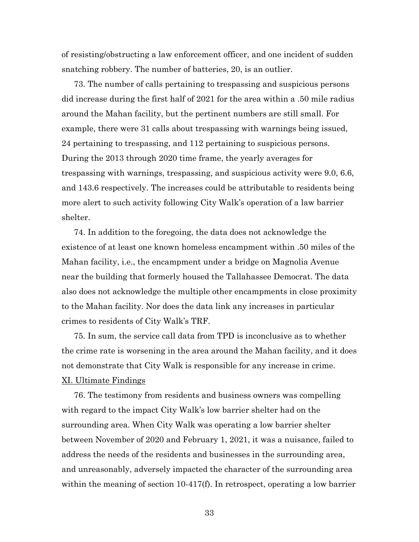of resisting/obstructing a law enforcement officer, and one incident of sudden snatching robbery. The number of batteries, 20, is an outlier.

73. The number of calls pertaining to trespassing and suspicious persons did increase during the first half of 2021 for the area within a .50 mile radius around the Mahan facility, but the pertinent numbers are still small. For example, there were 31 calls about trespassing with warnings being issued, 24 pertaining to trespassing, and 112 pertaining to suspicious persons. During the 2013 through 2020 time frame, the yearly averages for trespassing with warnings, trespassing, and suspicious activity were 9.0, 6.6, and 143.6 respectively. The increases could be attributable to residents being more alert to such activity following City Walk's operation of a law barrier shelter.

74. In addition to the foregoing, the data does not acknowledge the existence of at least one known homeless encampment within .50 miles of the Mahan facility, i.e., the encampment under a bridge on Magnolia Avenue near the building that formerly housed the Tallahassee Democrat. The data also does not acknowledge the multiple other encampments in close proximity to the Mahan facility. Nor does the data link any increases in particular crimes to residents of City Walk's TRF.

75. In sum, the service call data from TPD is inconclusive as to whether the crime rate is worsening in the area around the Mahan facility, and it does not demonstrate that City Walk is responsible for any increase in crime.

# XI. Ultimate Findings

76. The testimony from residents and business owners was compelling with regard to the impact City Walk's low barrier shelter had on the surrounding area. When City Walk was operating a low barrier shelter between November of 2020 and February 1, 2021, it was a nuisance, failed to address the needs of the residents and businesses in the surrounding area, and unreasonably, adversely impacted the character of the surrounding area within the meaning of section 10-417(f). In retrospect, operating a low barrier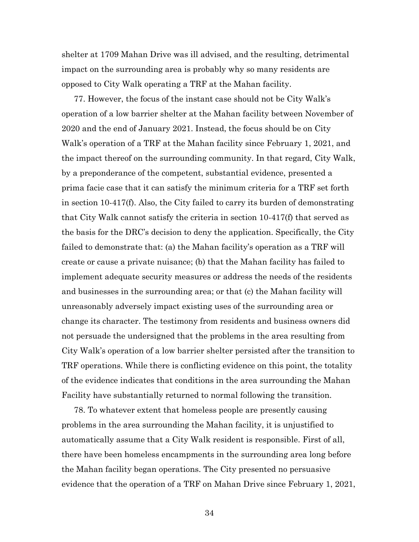shelter at 1709 Mahan Drive was ill advised, and the resulting, detrimental impact on the surrounding area is probably why so many residents are opposed to City Walk operating a TRF at the Mahan facility.

77. However, the focus of the instant case should not be City Walk's operation of a low barrier shelter at the Mahan facility between November of 2020 and the end of January 2021. Instead, the focus should be on City Walk's operation of a TRF at the Mahan facility since February 1, 2021, and the impact thereof on the surrounding community. In that regard, City Walk, by a preponderance of the competent, substantial evidence, presented a prima facie case that it can satisfy the minimum criteria for a TRF set forth in section 10-417(f). Also, the City failed to carry its burden of demonstrating that City Walk cannot satisfy the criteria in section 10-417(f) that served as the basis for the DRC's decision to deny the application. Specifically, the City failed to demonstrate that: (a) the Mahan facility's operation as a TRF will create or cause a private nuisance; (b) that the Mahan facility has failed to implement adequate security measures or address the needs of the residents and businesses in the surrounding area; or that (c) the Mahan facility will unreasonably adversely impact existing uses of the surrounding area or change its character. The testimony from residents and business owners did not persuade the undersigned that the problems in the area resulting from City Walk's operation of a low barrier shelter persisted after the transition to TRF operations. While there is conflicting evidence on this point, the totality of the evidence indicates that conditions in the area surrounding the Mahan Facility have substantially returned to normal following the transition.

78. To whatever extent that homeless people are presently causing problems in the area surrounding the Mahan facility, it is unjustified to automatically assume that a City Walk resident is responsible. First of all, there have been homeless encampments in the surrounding area long before the Mahan facility began operations. The City presented no persuasive evidence that the operation of a TRF on Mahan Drive since February 1, 2021,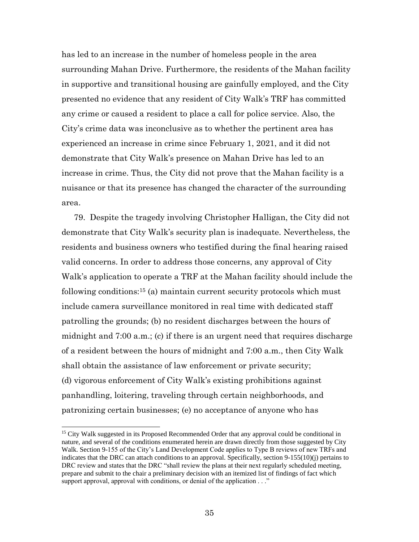has led to an increase in the number of homeless people in the area surrounding Mahan Drive. Furthermore, the residents of the Mahan facility in supportive and transitional housing are gainfully employed, and the City presented no evidence that any resident of City Walk's TRF has committed any crime or caused a resident to place a call for police service. Also, the City's crime data was inconclusive as to whether the pertinent area has experienced an increase in crime since February 1, 2021, and it did not demonstrate that City Walk's presence on Mahan Drive has led to an increase in crime. Thus, the City did not prove that the Mahan facility is a nuisance or that its presence has changed the character of the surrounding area.

79. Despite the tragedy involving Christopher Halligan, the City did not demonstrate that City Walk's security plan is inadequate. Nevertheless, the residents and business owners who testified during the final hearing raised valid concerns. In order to address those concerns, any approval of City Walk's application to operate a TRF at the Mahan facility should include the following conditions:<sup>15</sup> (a) maintain current security protocols which must include camera surveillance monitored in real time with dedicated staff patrolling the grounds; (b) no resident discharges between the hours of midnight and 7:00 a.m.; (c) if there is an urgent need that requires discharge of a resident between the hours of midnight and 7:00 a.m., then City Walk shall obtain the assistance of law enforcement or private security; (d) vigorous enforcement of City Walk's existing prohibitions against panhandling, loitering, traveling through certain neighborhoods, and patronizing certain businesses; (e) no acceptance of anyone who has

 $\overline{\phantom{a}}$ 

<sup>&</sup>lt;sup>15</sup> City Walk suggested in its Proposed Recommended Order that any approval could be conditional in nature, and several of the conditions enumerated herein are drawn directly from those suggested by City Walk. Section 9-155 of the City's Land Development Code applies to Type B reviews of new TRFs and indicates that the DRC can attach conditions to an approval. Specifically, section 9-155(10)(j) pertains to DRC review and states that the DRC "shall review the plans at their next regularly scheduled meeting, prepare and submit to the chair a preliminary decision with an itemized list of findings of fact which support approval, approval with conditions, or denial of the application . . ."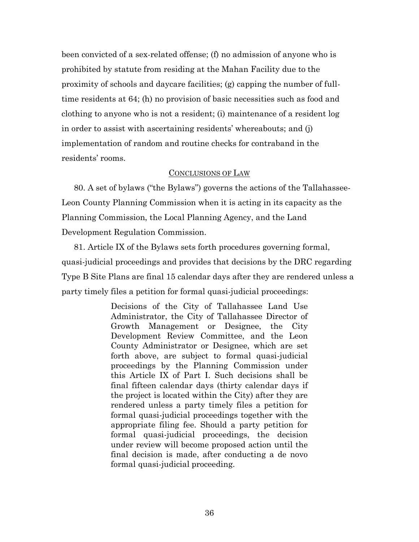been convicted of a sex-related offense; (f) no admission of anyone who is prohibited by statute from residing at the Mahan Facility due to the proximity of schools and daycare facilities; (g) capping the number of fulltime residents at 64; (h) no provision of basic necessities such as food and clothing to anyone who is not a resident; (i) maintenance of a resident log in order to assist with ascertaining residents' whereabouts; and (j) implementation of random and routine checks for contraband in the residents' rooms.

#### CONCLUSIONS OF LAW

80. A set of bylaws ("the Bylaws") governs the actions of the Tallahassee-Leon County Planning Commission when it is acting in its capacity as the Planning Commission, the Local Planning Agency, and the Land Development Regulation Commission.

81. Article IX of the Bylaws sets forth procedures governing formal, quasi-judicial proceedings and provides that decisions by the DRC regarding Type B Site Plans are final 15 calendar days after they are rendered unless a party timely files a petition for formal quasi-judicial proceedings:

> Decisions of the City of Tallahassee Land Use Administrator, the City of Tallahassee Director of Growth Management or Designee, the City Development Review Committee, and the Leon County Administrator or Designee, which are set forth above, are subject to formal quasi-judicial proceedings by the Planning Commission under this Article IX of Part I. Such decisions shall be final fifteen calendar days (thirty calendar days if the project is located within the City) after they are rendered unless a party timely files a petition for formal quasi-judicial proceedings together with the appropriate filing fee. Should a party petition for formal quasi-judicial proceedings, the decision under review will become proposed action until the final decision is made, after conducting a de novo formal quasi-judicial proceeding.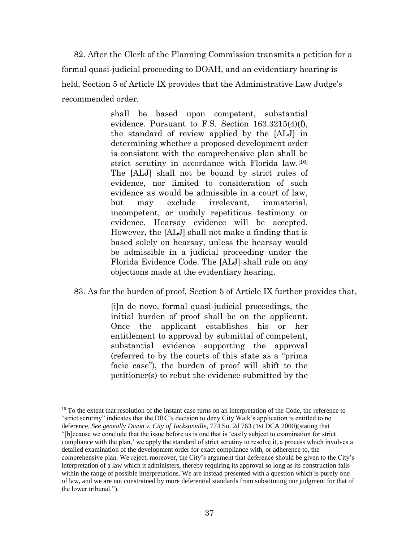82. After the Clerk of the Planning Commission transmits a petition for a formal quasi-judicial proceeding to DOAH, and an evidentiary hearing is held, Section 5 of Article IX provides that the Administrative Law Judge's recommended order,

> shall be based upon competent, substantial evidence. Pursuant to F.S. Section 163.3215(4)(f), the standard of review applied by the [ALJ] in determining whether a proposed development order is consistent with the comprehensive plan shall be strict scrutiny in accordance with Florida law.<sup>[16]</sup> The [ALJ] shall not be bound by strict rules of evidence, nor limited to consideration of such evidence as would be admissible in a court of law, but may exclude irrelevant, immaterial, incompetent, or unduly repetitious testimony or evidence. Hearsay evidence will be accepted. However, the [ALJ] shall not make a finding that is based solely on hearsay, unless the hearsay would be admissible in a judicial proceeding under the Florida Evidence Code. The [ALJ] shall rule on any objections made at the evidentiary hearing.

83. As for the burden of proof, Section 5 of Article IX further provides that,

[i]n de novo, formal quasi-judicial proceedings, the initial burden of proof shall be on the applicant. Once the applicant establishes his or her entitlement to approval by submittal of competent, substantial evidence supporting the approval (referred to by the courts of this state as a "prima facie case"), the burden of proof will shift to the petitioner(s) to rebut the evidence submitted by the

 $\overline{\phantom{a}}$ <sup>16</sup> To the extent that resolution of the instant case turns on an interpretation of the Code, the reference to "strict scrutiny" indicates that the DRC's decision to deny City Walk's application is entitled to no deference. *See geneally Dixon v. City of Jacksonville*, 774 So. 2d 763 (1st DCA 2000)(stating that "[b]ecause we conclude that the issue before us is one that is 'easily subject to examination for strict compliance with the plan,' we apply the standard of strict scrutiny to resolve it, a process which involves a detailed examination of the development order for exact compliance with, or adherence to, the comprehensive plan. We reject, moreover, the City's argument that deference should be given to the City's interpretation of a law which it administers, thereby requiring its approval so long as its construction falls within the range of possible interpretations. We are instead presented with a question which is purely one of law, and we are not constrained by more deferential standards from substituting our judgment for that of the lower tribunal.").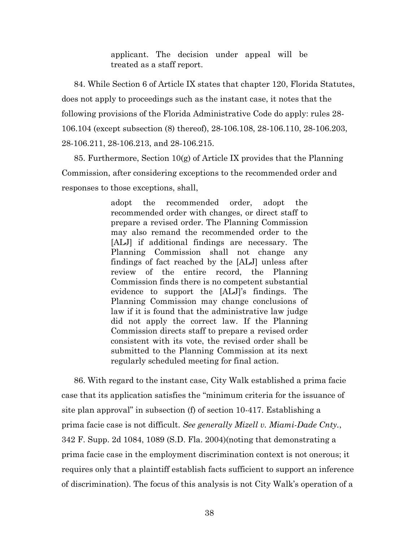applicant. The decision under appeal will be treated as a staff report.

84. While Section 6 of Article IX states that chapter 120, Florida Statutes, does not apply to proceedings such as the instant case, it notes that the following provisions of the Florida Administrative Code do apply: rules 28- 106.104 (except subsection (8) thereof), 28-106.108, 28-106.110, 28-106.203, 28-106.211, 28-106.213, and 28-106.215.

85. Furthermore, Section  $10(g)$  of Article IX provides that the Planning Commission, after considering exceptions to the recommended order and responses to those exceptions, shall,

> adopt the recommended order, adopt the recommended order with changes, or direct staff to prepare a revised order. The Planning Commission may also remand the recommended order to the [ALJ] if additional findings are necessary. The Planning Commission shall not change any findings of fact reached by the [ALJ] unless after review of the entire record, the Planning Commission finds there is no competent substantial evidence to support the [ALJ]'s findings. The Planning Commission may change conclusions of law if it is found that the administrative law judge did not apply the correct law. If the Planning Commission directs staff to prepare a revised order consistent with its vote, the revised order shall be submitted to the Planning Commission at its next regularly scheduled meeting for final action.

86. With regard to the instant case, City Walk established a prima facie case that its application satisfies the "minimum criteria for the issuance of site plan approval" in subsection (f) of section 10-417. Establishing a prima facie case is not difficult. *See generally Mizell v. Miami-Dade Cnty.*, 342 F. Supp. 2d 1084, 1089 (S.D. Fla. 2004)(noting that demonstrating a prima facie case in the employment discrimination context is not onerous; it requires only that a plaintiff establish facts sufficient to support an inference of discrimination). The focus of this analysis is not City Walk's operation of a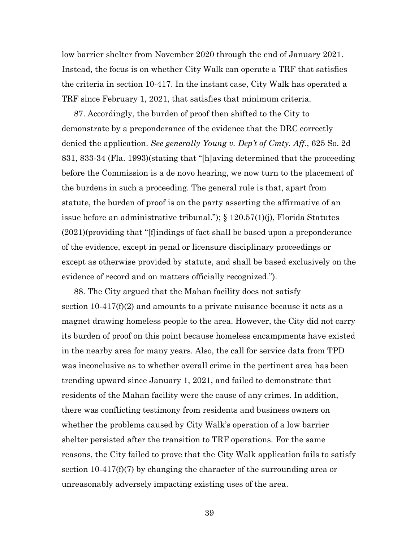low barrier shelter from November 2020 through the end of January 2021. Instead, the focus is on whether City Walk can operate a TRF that satisfies the criteria in section 10-417. In the instant case, City Walk has operated a TRF since February 1, 2021, that satisfies that minimum criteria.

87. Accordingly, the burden of proof then shifted to the City to demonstrate by a preponderance of the evidence that the DRC correctly denied the application. *See generally Young v. Dep't of Cmty. Aff.*, 625 So. 2d 831, 833-34 (Fla. 1993)(stating that "[h]aving determined that the proceeding before the Commission is a de novo hearing, we now turn to the placement of the burdens in such a proceeding. The general rule is that, apart from statute, the burden of proof is on the party asserting the affirmative of an issue before an administrative tribunal."); § 120.57(1)(j), Florida Statutes (2021)(providing that "[f]indings of fact shall be based upon a preponderance of the evidence, except in penal or licensure disciplinary proceedings or except as otherwise provided by statute, and shall be based exclusively on the evidence of record and on matters officially recognized.").

88. The City argued that the Mahan facility does not satisfy section  $10-417(f)(2)$  and amounts to a private nuisance because it acts as a magnet drawing homeless people to the area. However, the City did not carry its burden of proof on this point because homeless encampments have existed in the nearby area for many years. Also, the call for service data from TPD was inconclusive as to whether overall crime in the pertinent area has been trending upward since January 1, 2021, and failed to demonstrate that residents of the Mahan facility were the cause of any crimes. In addition, there was conflicting testimony from residents and business owners on whether the problems caused by City Walk's operation of a low barrier shelter persisted after the transition to TRF operations. For the same reasons, the City failed to prove that the City Walk application fails to satisfy section 10-417(f)(7) by changing the character of the surrounding area or unreasonably adversely impacting existing uses of the area.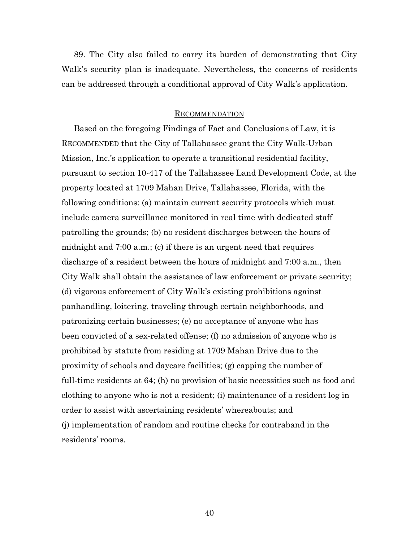89. The City also failed to carry its burden of demonstrating that City Walk's security plan is inadequate. Nevertheless, the concerns of residents can be addressed through a conditional approval of City Walk's application.

#### RECOMMENDATION

Based on the foregoing Findings of Fact and Conclusions of Law, it is RECOMMENDED that the City of Tallahassee grant the City Walk-Urban Mission, Inc.'s application to operate a transitional residential facility, pursuant to section 10-417 of the Tallahassee Land Development Code, at the property located at 1709 Mahan Drive, Tallahassee, Florida, with the following conditions: (a) maintain current security protocols which must include camera surveillance monitored in real time with dedicated staff patrolling the grounds; (b) no resident discharges between the hours of midnight and 7:00 a.m.; (c) if there is an urgent need that requires discharge of a resident between the hours of midnight and 7:00 a.m., then City Walk shall obtain the assistance of law enforcement or private security; (d) vigorous enforcement of City Walk's existing prohibitions against panhandling, loitering, traveling through certain neighborhoods, and patronizing certain businesses; (e) no acceptance of anyone who has been convicted of a sex-related offense; (f) no admission of anyone who is prohibited by statute from residing at 1709 Mahan Drive due to the proximity of schools and daycare facilities; (g) capping the number of full-time residents at 64; (h) no provision of basic necessities such as food and clothing to anyone who is not a resident; (i) maintenance of a resident log in order to assist with ascertaining residents' whereabouts; and (j) implementation of random and routine checks for contraband in the residents' rooms.